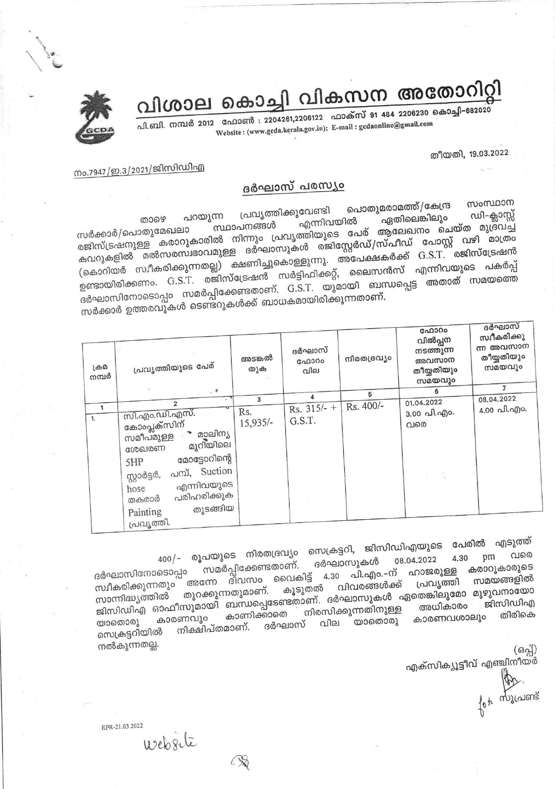

# വിശാല കൊച്ചി വികസന അതോറിറ്റി

പി.ബി. നമ്പർ 2012 ഫോൺ : 2204261,2206122 ഫാക്സ് 91 484 2206230 കൊച്ചി-682020 Website: (www.gcda.kerala.gov.in); E-mail: gcdaonline@gmail.com

#### തീയതി, 19.03.2022

### നം.7947/ഇ.3/2021/ജിസിഡിഎ

#### ദർഘാസ് പരസ്യം

സംസ്ഥാന പൊതുമരാമത്ത്/കേന്ദ്ര പ്രവൃത്തിക്കുവേണ്ടി പറയുന്ന ഡി–ക്ലാസ്സ് ഏതിലെങ്കിലും താഴെ എന്നിവയിൽ സർക്കാർ/പൊതുമേഖലാ (കൊറിയർ സ്വീകരിക്കുന്നതല്ല) ക്ഷണിച്ചുകൊള്ളുന്നു. അപേക്ഷകർക്ക് G.S.T. രജിസ്ട്രേഷൻ ്യ താര് സ്റ്റേഷൻ സർട്ടിഫിക്കറ്റ്, ലൈസൻസ് എന്നിവയുടെ പകർപ്പ്<br>ഉണ്ടായിരിക്കണം. G.S.T. രജിസ്ട്രേഷൻ സർട്ടിഫിക്കറ്റ്, ലൈസൻസ് എന്നിവയുടെ പകർപ്പ് ്ര<br>ദർഘാസിനോടൊപ്പം സമർപ്പിക്കേണ്ടതാണ്. G.S.T. യുമായി ബന്ധപ്പെട്ട അതാത് സമയത്തെ സർക്കാർ ഉത്തരവുകൾ ടെണ്ടറുകൾക്ക് ബാധകമായിരിക്കുന്നതാണ്.

| ക്രമ<br>നമ്പർ | പ്രവൃത്തിയുടെ പേര്                                                                                                                                                                                                                        | അടങ്കൽ<br>തുക     | ദർഘാസ്<br>GAD300<br>വില      | നിരതദ്രവ്യം | ഫോറം<br>വിൽപ്പന<br>നടത്തുന്ന<br>അവസാന<br>തീയ്യതിയും<br>സമയവും | ദർഘാസ്<br>സ്ഥീകരിക്കു<br>ന്ന അവസാന<br>തീയ്യതിയും<br>സമയവും<br>7 |
|---------------|-------------------------------------------------------------------------------------------------------------------------------------------------------------------------------------------------------------------------------------------|-------------------|------------------------------|-------------|---------------------------------------------------------------|-----------------------------------------------------------------|
|               | $,$ $\sqrt{2}$                                                                                                                                                                                                                            |                   |                              | 5           | 6                                                             | 08.04.2022                                                      |
| 1.            | $\overline{2}$<br>സി.എം.ഡി.എസ്.<br>കോംപ്ലക്സിന്<br>മാലിന്യ<br>സമീപമുള്ള<br>മുറിയിലെ<br>ശേഖരണ<br>മോട്ടോറിന്റെ<br>5HP<br>പമ്പ്, Suction<br>സ്റ്റാർട്ടർ,<br>എന്നിവയുടെ<br>hose<br>പരിഹരിക്കുക<br>തകരാർ<br>തുടങ്ങിയ<br>Painting<br>പ്രവൃത്തി. | Rs.<br>$15,935/-$ | 3<br>Rs. $315/-$ +<br>G.S.T. | Rs. 400/-   | 01.04.2022<br>3.00 പി.എം.<br>വരെ                              | 4.00 வி.வு)o.                                                   |

400/– രൂപയുടെ നിരതദ്രവ്യം സെക്രട്ടറി, ജിസിഡിഎയുടെ പേരിൽ എടുത്ത് 08.04.2022 ദർഘാസുകൾ സമർപ്പിക്കേണ്ടതാണ്. കരാറുകാരുടെ ദർഘാസിനോടൊപ്പം .<br>ദിവസം വൈകിട്ട് 4.30 പി.എം.–ന് ഹാജരുള്ള സമയങ്ങളിൽ സ്വീകരിക്കുന്നതും രങ്ങന്ന കൂടുതൽ വിവരങ്ങൾക്ക് പ്രവൃത്തി ജിസിഡിഎ ഓഫീസുമായി ബന്ധപ്പെടേണ്ടതാണ്. ദർഘാസുകൾ ഏതെങ്കിലുമോ മുഴുവനായോ തിരികെ കാണിക്കാതെ കാരണവശാലും കാരണവും യാതൊരു യാതൊരു വില ദർഘാസ് നിക്ഷിപ്തമാണ്. സെക്രട്ടറിയിൽ നൽകുന്നതല്ല.

എക്സിക്യൂട്ടീവ് എഞ്ചിനീയർ

for mylaisme

RPR-21.03.2022

Website